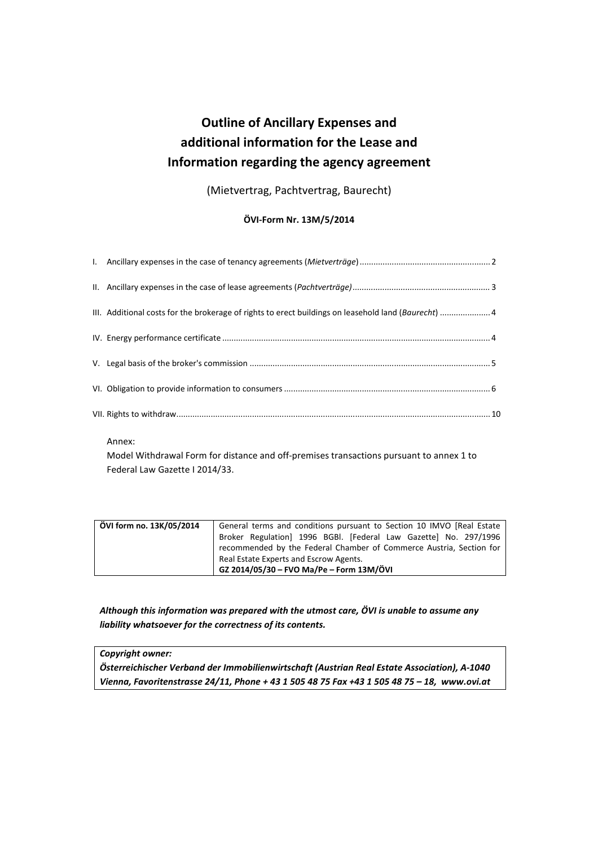# **Outline of Ancillary Expenses and additional information for the Lease and Information regarding the agency agreement**

(Mietvertrag, Pachtvertrag, Baurecht)

# **ÖVI-Form Nr. 13M/5/2014**

| III. Additional costs for the brokerage of rights to erect buildings on leasehold land (Baurecht)  4 |  |
|------------------------------------------------------------------------------------------------------|--|
|                                                                                                      |  |
|                                                                                                      |  |
|                                                                                                      |  |
|                                                                                                      |  |

Annex:

Model Withdrawal Form for distance and off-premises transactions pursuant to annex 1 to Federal Law Gazette I 2014/33.

| ÖVI form no. 13K/05/2014 | General terms and conditions pursuant to Section 10 IMVO [Real Estate |
|--------------------------|-----------------------------------------------------------------------|
|                          | Broker Regulation 1996 BGBI. [Federal Law Gazette] No. 297/1996       |
|                          | recommended by the Federal Chamber of Commerce Austria, Section for   |
|                          | Real Estate Experts and Escrow Agents.                                |
|                          | GZ 2014/05/30 - FVO Ma/Pe - Form 13M/ÖVI                              |

*Although this information was prepared with the utmost care, ÖVI is unable to assume any liability whatsoever for the correctness of its contents.* 

*Copyright owner:* 

*Österreichischer Verband der Immobilienwirtschaft (Austrian Real Estate Association), A-1040 Vienna, Favoritenstrasse 24/11, Phone + 43 1 505 48 75 Fax +43 1 505 48 75 – 18, www.ovi.at*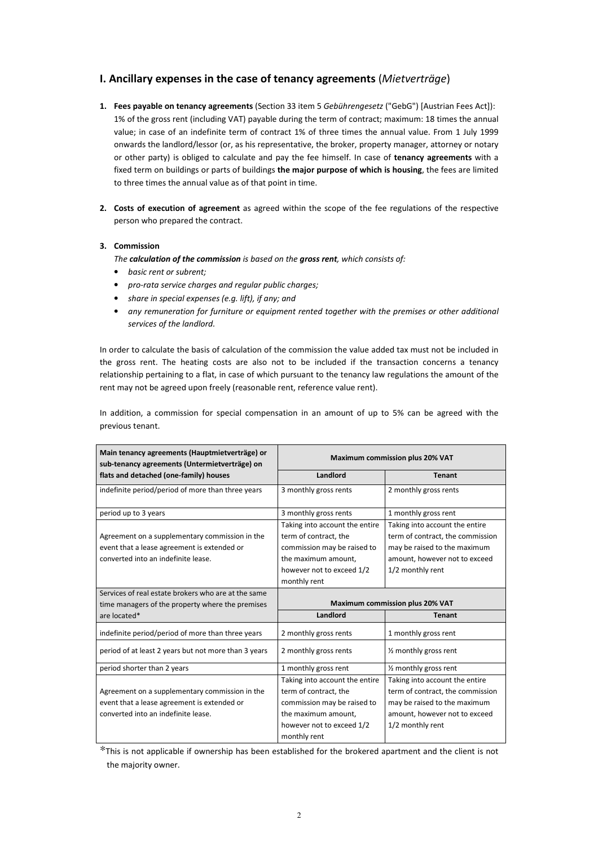# **I. Ancillary expenses in the case of tenancy agreements** (*Mietverträge*)

- **1. Fees payable on tenancy agreements** (Section 33 item 5 *Gebührengesetz* ("GebG") [Austrian Fees Act]): 1% of the gross rent (including VAT) payable during the term of contract; maximum: 18 times the annual value; in case of an indefinite term of contract 1% of three times the annual value. From 1 July 1999 onwards the landlord/lessor (or, as his representative, the broker, property manager, attorney or notary or other party) is obliged to calculate and pay the fee himself. In case of **tenancy agreements** with a fixed term on buildings or parts of buildings **the major purpose of which is housing**, the fees are limited to three times the annual value as of that point in time.
- **2. Costs of execution of agreement** as agreed within the scope of the fee regulations of the respective person who prepared the contract.

## **3. Commission**

*The calculation of the commission is based on the gross rent, which consists of:* 

- *basic rent or subrent;*
- *pro-rata service charges and regular public charges;*
- *share in special expenses (e.g. lift), if any; and*
- *any remuneration for furniture or equipment rented together with the premises or other additional services of the landlord.*

In order to calculate the basis of calculation of the commission the value added tax must not be included in the gross rent. The heating costs are also not to be included if the transaction concerns a tenancy relationship pertaining to a flat, in case of which pursuant to the tenancy law regulations the amount of the rent may not be agreed upon freely (reasonable rent, reference value rent).

In addition, a commission for special compensation in an amount of up to 5% can be agreed with the previous tenant.

| Main tenancy agreements (Hauptmietverträge) or<br>sub-tenancy agreements (Untermietverträge) on                                                                                                                                                 | Maximum commission plus 20% VAT                                                                                                                            |                                                                                                                                                                                            |
|-------------------------------------------------------------------------------------------------------------------------------------------------------------------------------------------------------------------------------------------------|------------------------------------------------------------------------------------------------------------------------------------------------------------|--------------------------------------------------------------------------------------------------------------------------------------------------------------------------------------------|
| flats and detached (one-family) houses                                                                                                                                                                                                          | Landlord                                                                                                                                                   | <b>Tenant</b>                                                                                                                                                                              |
| indefinite period/period of more than three years                                                                                                                                                                                               | 3 monthly gross rents                                                                                                                                      | 2 monthly gross rents                                                                                                                                                                      |
| period up to 3 years                                                                                                                                                                                                                            | 3 monthly gross rents                                                                                                                                      | 1 monthly gross rent                                                                                                                                                                       |
| Agreement on a supplementary commission in the<br>event that a lease agreement is extended or<br>converted into an indefinite lease.<br>Services of real estate brokers who are at the same<br>time managers of the property where the premises | Taking into account the entire<br>term of contract, the<br>commission may be raised to<br>the maximum amount,<br>however not to exceed 1/2<br>monthly rent | Taking into account the entire<br>term of contract, the commission<br>may be raised to the maximum<br>amount, however not to exceed<br>1/2 monthly rent<br>Maximum commission plus 20% VAT |
| are located*                                                                                                                                                                                                                                    | Landlord                                                                                                                                                   | <b>Tenant</b>                                                                                                                                                                              |
| indefinite period/period of more than three years                                                                                                                                                                                               | 2 monthly gross rents                                                                                                                                      | 1 monthly gross rent                                                                                                                                                                       |
| period of at least 2 years but not more than 3 years                                                                                                                                                                                            | 2 monthly gross rents                                                                                                                                      | 1/ <sub>2</sub> monthly gross rent                                                                                                                                                         |
| period shorter than 2 years                                                                                                                                                                                                                     | 1 monthly gross rent                                                                                                                                       | 1/ <sub>2</sub> monthly gross rent                                                                                                                                                         |
|                                                                                                                                                                                                                                                 |                                                                                                                                                            |                                                                                                                                                                                            |

\*This is not applicable if ownership has been established for the brokered apartment and the client is not the majority owner.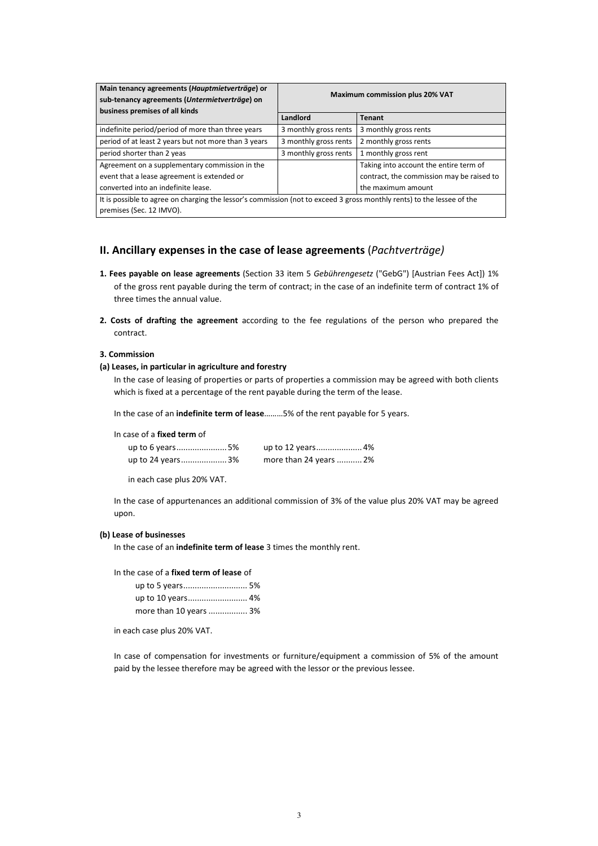| Main tenancy agreements (Hauptmietverträge) or<br>sub-tenancy agreements (Untermietverträge) on<br>business premises of all kinds                  | <b>Maximum commission plus 20% VAT</b> |                                           |
|----------------------------------------------------------------------------------------------------------------------------------------------------|----------------------------------------|-------------------------------------------|
|                                                                                                                                                    | Landlord                               | <b>Tenant</b>                             |
| indefinite period/period of more than three years                                                                                                  | 3 monthly gross rents                  | 3 monthly gross rents                     |
| period of at least 2 years but not more than 3 years                                                                                               | 3 monthly gross rents                  | 2 monthly gross rents                     |
| period shorter than 2 yeas                                                                                                                         | 3 monthly gross rents                  | 1 monthly gross rent                      |
| Agreement on a supplementary commission in the                                                                                                     |                                        | Taking into account the entire term of    |
| event that a lease agreement is extended or                                                                                                        |                                        | contract, the commission may be raised to |
| converted into an indefinite lease.                                                                                                                |                                        | the maximum amount                        |
| It is possible to agree on charging the lessor's commission (not to exceed 3 gross monthly rents) to the lessee of the<br>premises (Sec. 12 IMVO). |                                        |                                           |

# **II. Ancillary expenses in the case of lease agreements** (*Pachtverträge)*

- **1. Fees payable on lease agreements** (Section 33 item 5 *Gebührengesetz* ("GebG") [Austrian Fees Act]) 1% of the gross rent payable during the term of contract; in the case of an indefinite term of contract 1% of three times the annual value.
- **2. Costs of drafting the agreement** according to the fee regulations of the person who prepared the contract.

#### **3. Commission**

## **(a) Leases, in particular in agriculture and forestry**

In the case of leasing of properties or parts of properties a commission may be agreed with both clients which is fixed at a percentage of the rent payable during the term of the lease.

In the case of an **indefinite term of lease**………5% of the rent payable for 5 years.

In case of a **fixed term** of

| up to 6 years5%  |                        |
|------------------|------------------------|
| up to 24 years3% | more than 24 years  2% |

in each case plus 20% VAT.

In the case of appurtenances an additional commission of 3% of the value plus 20% VAT may be agreed upon.

## **(b) Lease of businesses**

In the case of an **indefinite term of lease** 3 times the monthly rent.

In the case of a **fixed term of lease** of

| more than 10 years  3% |  |
|------------------------|--|

in each case plus 20% VAT.

In case of compensation for investments or furniture/equipment a commission of 5% of the amount paid by the lessee therefore may be agreed with the lessor or the previous lessee.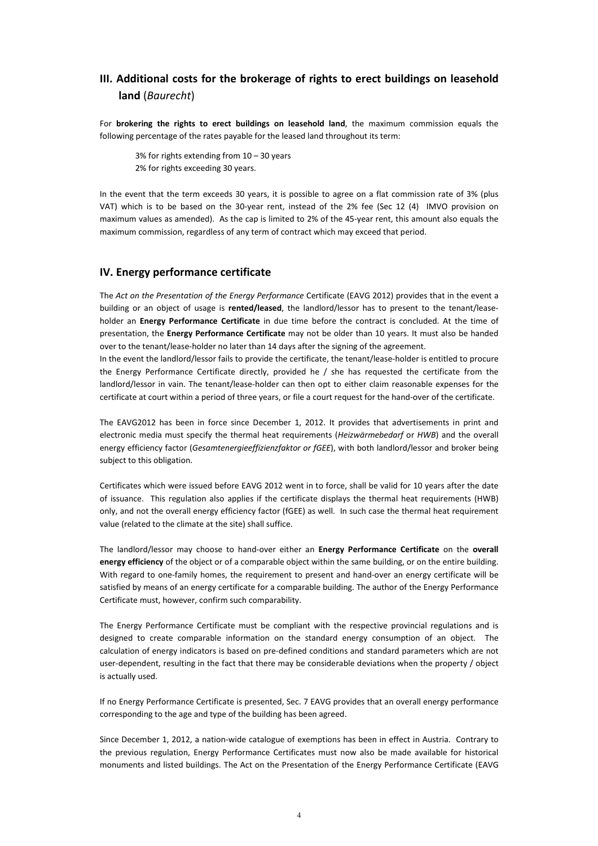# **III. Additional costs for the brokerage of rights to erect buildings on leasehold land** (*Baurecht*)

For **brokering the rights to erect buildings on leasehold land**, the maximum commission equals the following percentage of the rates payable for the leased land throughout its term:

3% for rights extending from 10 – 30 years 2% for rights exceeding 30 years.

In the event that the term exceeds 30 years, it is possible to agree on a flat commission rate of 3% (plus VAT) which is to be based on the 30-year rent, instead of the 2% fee (Sec 12 (4) IMVO provision on maximum values as amended). As the cap is limited to 2% of the 45-year rent, this amount also equals the maximum commission, regardless of any term of contract which may exceed that period.

# **IV. Energy performance certificate**

The *Act on the Presentation of the Energy Performance* Certificate (EAVG 2012) provides that in the event a building or an object of usage is **rented/leased**, the landlord/lessor has to present to the tenant/leaseholder an **Energy Performance Certificate** in due time before the contract is concluded. At the time of presentation, the **Energy Performance Certificate** may not be older than 10 years. It must also be handed over to the tenant/lease-holder no later than 14 days after the signing of the agreement.

In the event the landlord/lessor fails to provide the certificate, the tenant/lease-holder is entitled to procure the Energy Performance Certificate directly, provided he / she has requested the certificate from the landlord/lessor in vain. The tenant/lease-holder can then opt to either claim reasonable expenses for the certificate at court within a period of three years, or file a court request for the hand-over of the certificate.

The EAVG2012 has been in force since December 1, 2012. It provides that advertisements in print and electronic media must specify the thermal heat requirements (*Heizwärmebedarf* or *HWB*) and the overall energy efficiency factor (*Gesamtenergieeffizienzfaktor or fGEE*), with both landlord/lessor and broker being subject to this obligation.

Certificates which were issued before EAVG 2012 went in to force, shall be valid for 10 years after the date of issuance. This regulation also applies if the certificate displays the thermal heat requirements (HWB) only, and not the overall energy efficiency factor (fGEE) as well. In such case the thermal heat requirement value (related to the climate at the site) shall suffice.

The landlord/lessor may choose to hand-over either an **Energy Performance Certificate** on the **overall energy efficiency** of the object or of a comparable object within the same building, or on the entire building. With regard to one-family homes, the requirement to present and hand-over an energy certificate will be satisfied by means of an energy certificate for a comparable building. The author of the Energy Performance Certificate must, however, confirm such comparability.

The Energy Performance Certificate must be compliant with the respective provincial regulations and is designed to create comparable information on the standard energy consumption of an object. The calculation of energy indicators is based on pre-defined conditions and standard parameters which are not user-dependent, resulting in the fact that there may be considerable deviations when the property / object is actually used.

If no Energy Performance Certificate is presented, Sec. 7 EAVG provides that an overall energy performance corresponding to the age and type of the building has been agreed.

Since December 1, 2012, a nation-wide catalogue of exemptions has been in effect in Austria. Contrary to the previous regulation, Energy Performance Certificates must now also be made available for historical monuments and listed buildings. The Act on the Presentation of the Energy Performance Certificate (EAVG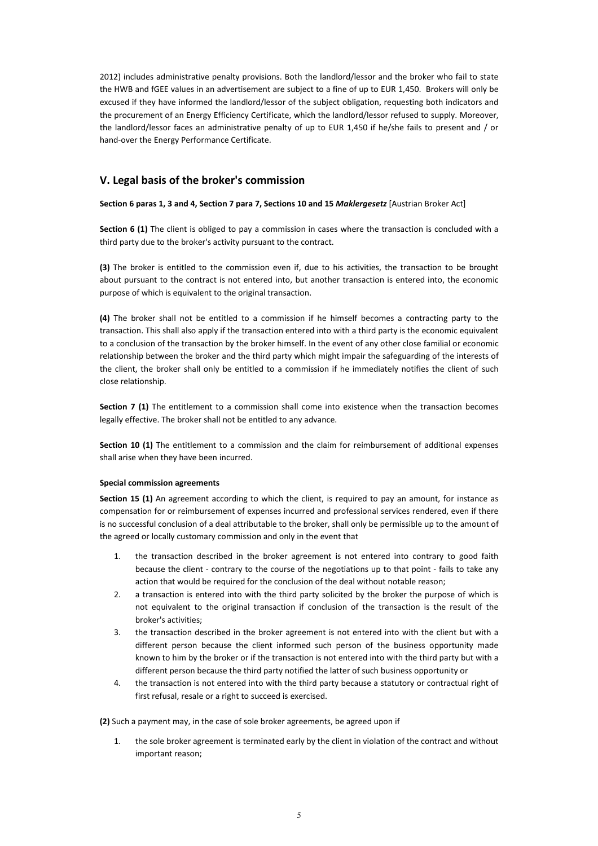2012) includes administrative penalty provisions. Both the landlord/lessor and the broker who fail to state the HWB and fGEE values in an advertisement are subject to a fine of up to EUR 1,450. Brokers will only be excused if they have informed the landlord/lessor of the subject obligation, requesting both indicators and the procurement of an Energy Efficiency Certificate, which the landlord/lessor refused to supply. Moreover, the landlord/lessor faces an administrative penalty of up to EUR 1,450 if he/she fails to present and / or hand-over the Energy Performance Certificate.

# **V. Legal basis of the broker's commission**

**Section 6 paras 1, 3 and 4, Section 7 para 7, Sections 10 and 15** *Maklergesetz* [Austrian Broker Act]

**Section 6 (1)** The client is obliged to pay a commission in cases where the transaction is concluded with a third party due to the broker's activity pursuant to the contract.

**(3)** The broker is entitled to the commission even if, due to his activities, the transaction to be brought about pursuant to the contract is not entered into, but another transaction is entered into, the economic purpose of which is equivalent to the original transaction.

**(4)** The broker shall not be entitled to a commission if he himself becomes a contracting party to the transaction. This shall also apply if the transaction entered into with a third party is the economic equivalent to a conclusion of the transaction by the broker himself. In the event of any other close familial or economic relationship between the broker and the third party which might impair the safeguarding of the interests of the client, the broker shall only be entitled to a commission if he immediately notifies the client of such close relationship.

**Section 7 (1)** The entitlement to a commission shall come into existence when the transaction becomes legally effective. The broker shall not be entitled to any advance.

**Section 10 (1)** The entitlement to a commission and the claim for reimbursement of additional expenses shall arise when they have been incurred.

## **Special commission agreements**

**Section 15 (1)** An agreement according to which the client, is required to pay an amount, for instance as compensation for or reimbursement of expenses incurred and professional services rendered, even if there is no successful conclusion of a deal attributable to the broker, shall only be permissible up to the amount of the agreed or locally customary commission and only in the event that

- 1. the transaction described in the broker agreement is not entered into contrary to good faith because the client - contrary to the course of the negotiations up to that point - fails to take any action that would be required for the conclusion of the deal without notable reason;
- 2. a transaction is entered into with the third party solicited by the broker the purpose of which is not equivalent to the original transaction if conclusion of the transaction is the result of the broker's activities;
- 3. the transaction described in the broker agreement is not entered into with the client but with a different person because the client informed such person of the business opportunity made known to him by the broker or if the transaction is not entered into with the third party but with a different person because the third party notified the latter of such business opportunity or
- 4. the transaction is not entered into with the third party because a statutory or contractual right of first refusal, resale or a right to succeed is exercised.

**(2)** Such a payment may, in the case of sole broker agreements, be agreed upon if

1. the sole broker agreement is terminated early by the client in violation of the contract and without important reason;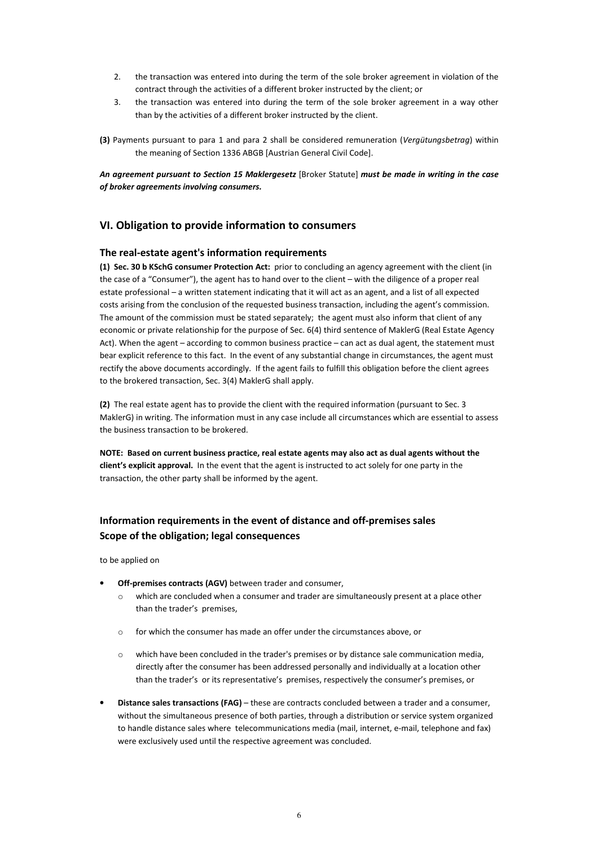- 2. the transaction was entered into during the term of the sole broker agreement in violation of the contract through the activities of a different broker instructed by the client; or
- 3. the transaction was entered into during the term of the sole broker agreement in a way other than by the activities of a different broker instructed by the client.
- **(3)** Payments pursuant to para 1 and para 2 shall be considered remuneration (*Vergütungsbetrag*) within the meaning of Section 1336 ABGB [Austrian General Civil Code].

*An agreement pursuant to Section 15 Maklergesetz* [Broker Statute] *must be made in writing in the case of broker agreements involving consumers.* 

# **VI. Obligation to provide information to consumers**

## **The real-estate agent's information requirements**

**(1) Sec. 30 b KSchG consumer Protection Act:** prior to concluding an agency agreement with the client (in the case of a "Consumer"), the agent has to hand over to the client – with the diligence of a proper real estate professional – a written statement indicating that it will act as an agent, and a list of all expected costs arising from the conclusion of the requested business transaction, including the agent's commission. The amount of the commission must be stated separately; the agent must also inform that client of any economic or private relationship for the purpose of Sec. 6(4) third sentence of MaklerG (Real Estate Agency Act). When the agent – according to common business practice – can act as dual agent, the statement must bear explicit reference to this fact. In the event of any substantial change in circumstances, the agent must rectify the above documents accordingly. If the agent fails to fulfill this obligation before the client agrees to the brokered transaction, Sec. 3(4) MaklerG shall apply.

**(2)** The real estate agent has to provide the client with the required information (pursuant to Sec. 3 MaklerG) in writing. The information must in any case include all circumstances which are essential to assess the business transaction to be brokered.

**NOTE: Based on current business practice, real estate agents may also act as dual agents without the client's explicit approval.** In the event that the agent is instructed to act solely for one party in the transaction, the other party shall be informed by the agent.

# **Information requirements in the event of distance and off-premises sales Scope of the obligation; legal consequences**

to be applied on

- **Off-premises contracts (AGV)** between trader and consumer,
	- o which are concluded when a consumer and trader are simultaneously present at a place other than the trader's premises,
	- o for which the consumer has made an offer under the circumstances above, or
	- o which have been concluded in the trader's premises or by distance sale communication media, directly after the consumer has been addressed personally and individually at a location other than the trader's or its representative's premises, respectively the consumer's premises, or
- **Distance sales transactions (FAG)**  these are contracts concluded between a trader and a consumer, without the simultaneous presence of both parties, through a distribution or service system organized to handle distance sales where telecommunications media (mail, internet, e-mail, telephone and fax) were exclusively used until the respective agreement was concluded.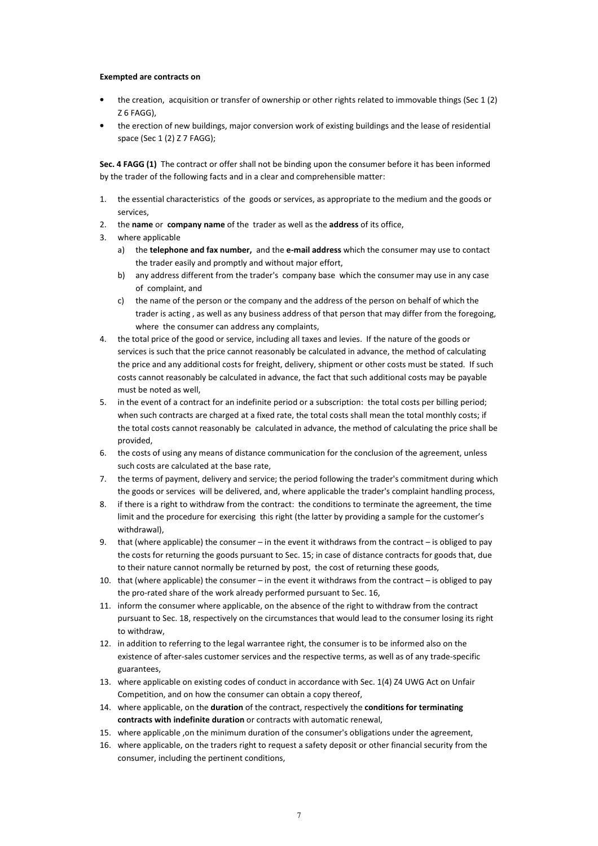#### **Exempted are contracts on**

- the creation, acquisition or transfer of ownership or other rights related to immovable things (Sec 1 (2) Z 6 FAGG),
- the erection of new buildings, major conversion work of existing buildings and the lease of residential space (Sec 1 (2) Z 7 FAGG);

**Sec. 4 FAGG (1)** The contract or offer shall not be binding upon the consumer before it has been informed by the trader of the following facts and in a clear and comprehensible matter:

- 1. the essential characteristics of the goods or services, as appropriate to the medium and the goods or services,
- 2. the **name** or **company name** of the trader as well as the **address** of its office,
- 3. where applicable
	- a) the **telephone and fax number,** and the **e-mail address** which the consumer may use to contact the trader easily and promptly and without major effort,
	- b) any address different from the trader's company base which the consumer may use in any case of complaint, and
	- c) the name of the person or the company and the address of the person on behalf of which the trader is acting , as well as any business address of that person that may differ from the foregoing, where the consumer can address any complaints,
- 4. the total price of the good or service, including all taxes and levies. If the nature of the goods or services is such that the price cannot reasonably be calculated in advance, the method of calculating the price and any additional costs for freight, delivery, shipment or other costs must be stated. If such costs cannot reasonably be calculated in advance, the fact that such additional costs may be payable must be noted as well,
- 5. in the event of a contract for an indefinite period or a subscription: the total costs per billing period; when such contracts are charged at a fixed rate, the total costs shall mean the total monthly costs; if the total costs cannot reasonably be calculated in advance, the method of calculating the price shall be provided,
- 6. the costs of using any means of distance communication for the conclusion of the agreement, unless such costs are calculated at the base rate,
- 7. the terms of payment, delivery and service; the period following the trader's commitment during which the goods or services will be delivered, and, where applicable the trader's complaint handling process,
- 8. if there is a right to withdraw from the contract: the conditions to terminate the agreement, the time limit and the procedure for exercising this right (the latter by providing a sample for the customer's withdrawal),
- 9. that (where applicable) the consumer in the event it withdraws from the contract is obliged to pay the costs for returning the goods pursuant to Sec. 15; in case of distance contracts for goods that, due to their nature cannot normally be returned by post, the cost of returning these goods,
- 10. that (where applicable) the consumer in the event it withdraws from the contract is obliged to pay the pro-rated share of the work already performed pursuant to Sec. 16,
- 11. inform the consumer where applicable, on the absence of the right to withdraw from the contract pursuant to Sec. 18, respectively on the circumstances that would lead to the consumer losing its right to withdraw,
- 12. in addition to referring to the legal warrantee right, the consumer is to be informed also on the existence of after-sales customer services and the respective terms, as well as of any trade-specific guarantees,
- 13. where applicable on existing codes of conduct in accordance with Sec. 1(4) Z4 UWG Act on Unfair Competition, and on how the consumer can obtain a copy thereof,
- 14. where applicable, on the **duration** of the contract, respectively the **conditions for terminating contracts with indefinite duration** or contracts with automatic renewal,
- 15. where applicable ,on the minimum duration of the consumer's obligations under the agreement,
- 16. where applicable, on the traders right to request a safety deposit or other financial security from the consumer, including the pertinent conditions,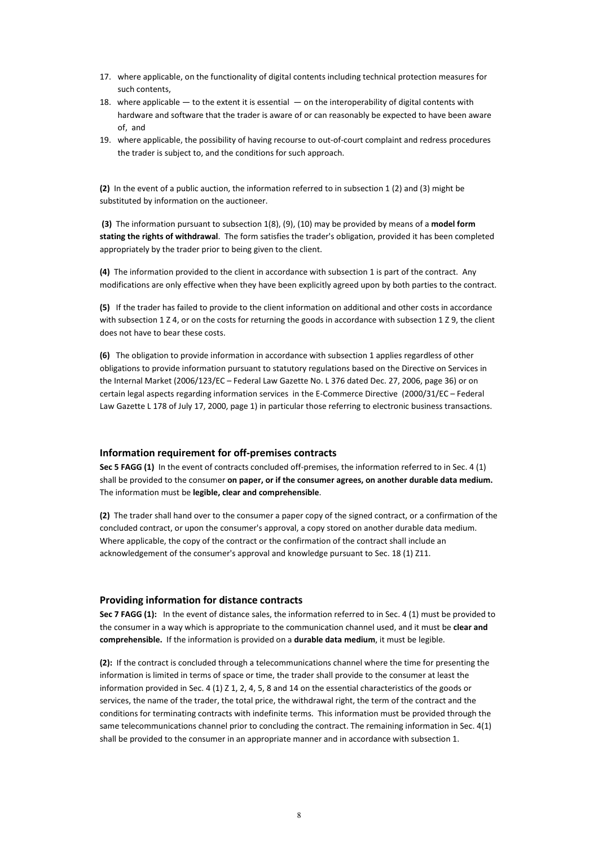- 17. where applicable, on the functionality of digital contents including technical protection measures for such contents,
- 18. where applicable to the extent it is essential on the interoperability of digital contents with hardware and software that the trader is aware of or can reasonably be expected to have been aware of, and
- 19. where applicable, the possibility of having recourse to out-of-court complaint and redress procedures the trader is subject to, and the conditions for such approach.

**(2)** In the event of a public auction, the information referred to in subsection 1 (2) and (3) might be substituted by information on the auctioneer.

 **(3)** The information pursuant to subsection 1(8), (9), (10) may be provided by means of a **model form stating the rights of withdrawal**. The form satisfies the trader's obligation, provided it has been completed appropriately by the trader prior to being given to the client.

**(4)** The information provided to the client in accordance with subsection 1 is part of the contract. Any modifications are only effective when they have been explicitly agreed upon by both parties to the contract.

**(5)** If the trader has failed to provide to the client information on additional and other costs in accordance with subsection 1 Z 4, or on the costs for returning the goods in accordance with subsection 1 Z 9, the client does not have to bear these costs.

**(6)** The obligation to provide information in accordance with subsection 1 applies regardless of other obligations to provide information pursuant to statutory regulations based on the Directive on Services in the Internal Market (2006/123/EC – Federal Law Gazette No. L 376 dated Dec. 27, 2006, page 36) or on certain legal aspects regarding information services in the E-Commerce Directive (2000/31/EC – Federal Law Gazette L 178 of July 17, 2000, page 1) in particular those referring to electronic business transactions.

## **Information requirement for off-premises contracts**

**Sec 5 FAGG (1)** In the event of contracts concluded off-premises, the information referred to in Sec. 4 (1) shall be provided to the consumer **on paper, or if the consumer agrees, on another durable data medium.**  The information must be **legible, clear and comprehensible**.

**(2)** The trader shall hand over to the consumer a paper copy of the signed contract, or a confirmation of the concluded contract, or upon the consumer's approval, a copy stored on another durable data medium. Where applicable, the copy of the contract or the confirmation of the contract shall include an acknowledgement of the consumer's approval and knowledge pursuant to Sec. 18 (1) Z11.

## **Providing information for distance contracts**

**Sec 7 FAGG (1):** In the event of distance sales, the information referred to in Sec. 4 (1) must be provided to the consumer in a way which is appropriate to the communication channel used, and it must be **clear and comprehensible.** If the information is provided on a **durable data medium**, it must be legible.

**(2):** If the contract is concluded through a telecommunications channel where the time for presenting the information is limited in terms of space or time, the trader shall provide to the consumer at least the information provided in Sec. 4 (1)  $Z$  1, 2, 4, 5, 8 and 14 on the essential characteristics of the goods or services, the name of the trader, the total price, the withdrawal right, the term of the contract and the conditions for terminating contracts with indefinite terms. This information must be provided through the same telecommunications channel prior to concluding the contract. The remaining information in Sec. 4(1) shall be provided to the consumer in an appropriate manner and in accordance with subsection 1.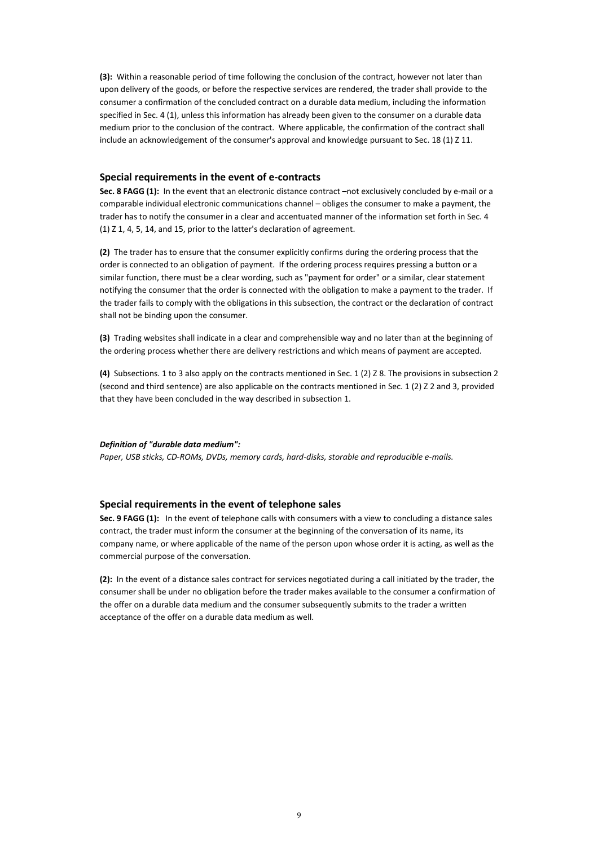**(3):** Within a reasonable period of time following the conclusion of the contract, however not later than upon delivery of the goods, or before the respective services are rendered, the trader shall provide to the consumer a confirmation of the concluded contract on a durable data medium, including the information specified in Sec. 4 (1), unless this information has already been given to the consumer on a durable data medium prior to the conclusion of the contract. Where applicable, the confirmation of the contract shall include an acknowledgement of the consumer's approval and knowledge pursuant to Sec. 18 (1) Z 11.

#### **Special requirements in the event of e-contracts**

**Sec. 8 FAGG (1):** In the event that an electronic distance contract –not exclusively concluded by e-mail or a comparable individual electronic communications channel – obliges the consumer to make a payment, the trader has to notify the consumer in a clear and accentuated manner of the information set forth in Sec. 4 (1) Z 1, 4, 5, 14, and 15, prior to the latter's declaration of agreement.

**(2)** The trader has to ensure that the consumer explicitly confirms during the ordering process that the order is connected to an obligation of payment. If the ordering process requires pressing a button or a similar function, there must be a clear wording, such as "payment for order" or a similar, clear statement notifying the consumer that the order is connected with the obligation to make a payment to the trader. If the trader fails to comply with the obligations in this subsection, the contract or the declaration of contract shall not be binding upon the consumer.

**(3)** Trading websites shall indicate in a clear and comprehensible way and no later than at the beginning of the ordering process whether there are delivery restrictions and which means of payment are accepted.

**(4)** Subsections. 1 to 3 also apply on the contracts mentioned in Sec. 1 (2) Z 8. The provisions in subsection 2 (second and third sentence) are also applicable on the contracts mentioned in Sec. 1 (2) Z 2 and 3, provided that they have been concluded in the way described in subsection 1.

#### *Definition of "durable data medium":*

*Paper, USB sticks, CD-ROMs, DVDs, memory cards, hard-disks, storable and reproducible e-mails.* 

#### **Special requirements in the event of telephone sales**

**Sec. 9 FAGG (1):** In the event of telephone calls with consumers with a view to concluding a distance sales contract, the trader must inform the consumer at the beginning of the conversation of its name, its company name, or where applicable of the name of the person upon whose order it is acting, as well as the commercial purpose of the conversation.

**(2):** In the event of a distance sales contract for services negotiated during a call initiated by the trader, the consumer shall be under no obligation before the trader makes available to the consumer a confirmation of the offer on a durable data medium and the consumer subsequently submits to the trader a written acceptance of the offer on a durable data medium as well.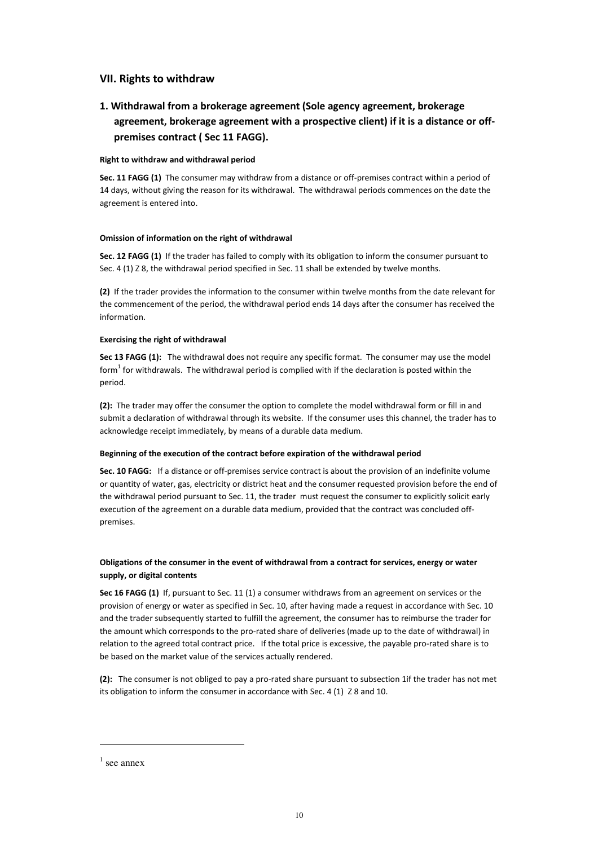## **VII. Rights to withdraw**

# **1. Withdrawal from a brokerage agreement (Sole agency agreement, brokerage agreement, brokerage agreement with a prospective client) if it is a distance or offpremises contract ( Sec 11 FAGG).**

## **Right to withdraw and withdrawal period**

**Sec. 11 FAGG (1)** The consumer may withdraw from a distance or off-premises contract within a period of 14 days, without giving the reason for its withdrawal. The withdrawal periods commences on the date the agreement is entered into.

## **Omission of information on the right of withdrawal**

**Sec. 12 FAGG (1)** If the trader has failed to comply with its obligation to inform the consumer pursuant to Sec. 4 (1) Z 8, the withdrawal period specified in Sec. 11 shall be extended by twelve months.

**(2)** If the trader provides the information to the consumer within twelve months from the date relevant for the commencement of the period, the withdrawal period ends 14 days after the consumer has received the information.

## **Exercising the right of withdrawal**

**Sec 13 FAGG (1):** The withdrawal does not require any specific format. The consumer may use the model form $^{1}$  for withdrawals. The withdrawal period is complied with if the declaration is posted within the period.

**(2):** The trader may offer the consumer the option to complete the model withdrawal form or fill in and submit a declaration of withdrawal through its website. If the consumer uses this channel, the trader has to acknowledge receipt immediately, by means of a durable data medium.

## **Beginning of the execution of the contract before expiration of the withdrawal period**

**Sec. 10 FAGG:** If a distance or off-premises service contract is about the provision of an indefinite volume or quantity of water, gas, electricity or district heat and the consumer requested provision before the end of the withdrawal period pursuant to Sec. 11, the trader must request the consumer to explicitly solicit early execution of the agreement on a durable data medium, provided that the contract was concluded offpremises.

# **Obligations of the consumer in the event of withdrawal from a contract for services, energy or water supply, or digital contents**

**Sec 16 FAGG (1)** If, pursuant to Sec. 11 (1) a consumer withdraws from an agreement on services or the provision of energy or water as specified in Sec. 10, after having made a request in accordance with Sec. 10 and the trader subsequently started to fulfill the agreement, the consumer has to reimburse the trader for the amount which corresponds to the pro-rated share of deliveries (made up to the date of withdrawal) in relation to the agreed total contract price. If the total price is excessive, the payable pro-rated share is to be based on the market value of the services actually rendered.

**(2):** The consumer is not obliged to pay a pro-rated share pursuant to subsection 1if the trader has not met its obligation to inform the consumer in accordance with Sec. 4 (1) Z 8 and 10.

l.

 $<sup>1</sup>$  see annex</sup>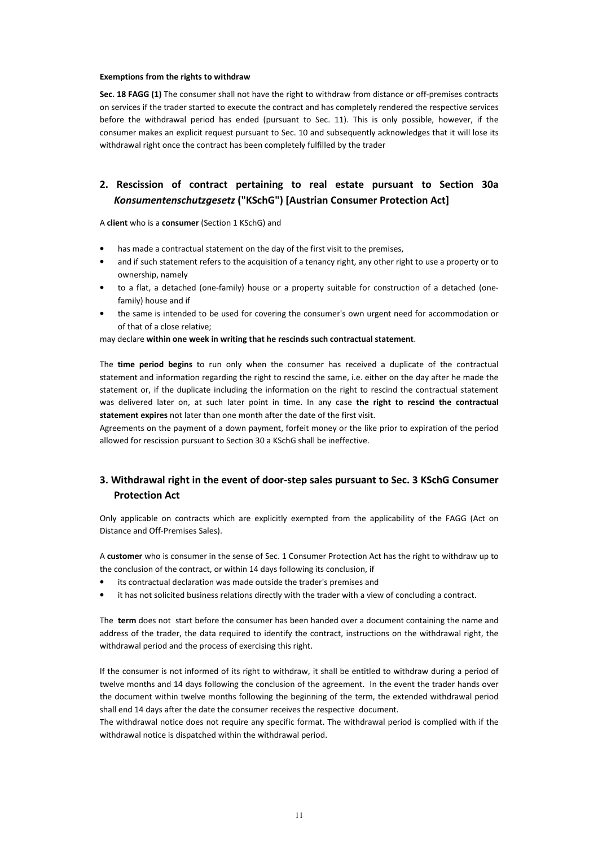#### **Exemptions from the rights to withdraw**

**Sec. 18 FAGG (1)** The consumer shall not have the right to withdraw from distance or off-premises contracts on services if the trader started to execute the contract and has completely rendered the respective services before the withdrawal period has ended (pursuant to Sec. 11). This is only possible, however, if the consumer makes an explicit request pursuant to Sec. 10 and subsequently acknowledges that it will lose its withdrawal right once the contract has been completely fulfilled by the trader

# **2. Rescission of contract pertaining to real estate pursuant to Section 30a**  *Konsumentenschutzgesetz* **("KSchG") [Austrian Consumer Protection Act]**

A **client** who is a **consumer** (Section 1 KSchG) and

- has made a contractual statement on the day of the first visit to the premises,
- and if such statement refers to the acquisition of a tenancy right, any other right to use a property or to ownership, namely
- to a flat, a detached (one-family) house or a property suitable for construction of a detached (onefamily) house and if
- the same is intended to be used for covering the consumer's own urgent need for accommodation or of that of a close relative;

may declare **within one week in writing that he rescinds such contractual statement**.

The **time period begins** to run only when the consumer has received a duplicate of the contractual statement and information regarding the right to rescind the same, i.e. either on the day after he made the statement or, if the duplicate including the information on the right to rescind the contractual statement was delivered later on, at such later point in time. In any case **the right to rescind the contractual statement expires** not later than one month after the date of the first visit.

Agreements on the payment of a down payment, forfeit money or the like prior to expiration of the period allowed for rescission pursuant to Section 30 a KSchG shall be ineffective.

# **3. Withdrawal right in the event of door-step sales pursuant to Sec. 3 KSchG Consumer Protection Act**

Only applicable on contracts which are explicitly exempted from the applicability of the FAGG (Act on Distance and Off-Premises Sales).

A **customer** who is consumer in the sense of Sec. 1 Consumer Protection Act has the right to withdraw up to the conclusion of the contract, or within 14 days following its conclusion, if

- its contractual declaration was made outside the trader's premises and
- it has not solicited business relations directly with the trader with a view of concluding a contract.

The **term** does not start before the consumer has been handed over a document containing the name and address of the trader, the data required to identify the contract, instructions on the withdrawal right, the withdrawal period and the process of exercising this right.

If the consumer is not informed of its right to withdraw, it shall be entitled to withdraw during a period of twelve months and 14 days following the conclusion of the agreement. In the event the trader hands over the document within twelve months following the beginning of the term, the extended withdrawal period shall end 14 days after the date the consumer receives the respective document.

The withdrawal notice does not require any specific format. The withdrawal period is complied with if the withdrawal notice is dispatched within the withdrawal period.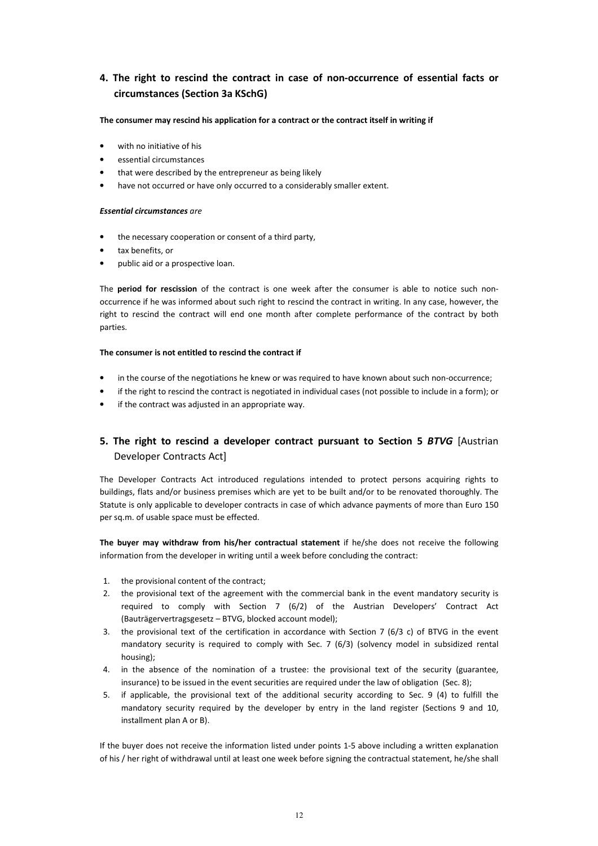# **4. The right to rescind the contract in case of non-occurrence of essential facts or circumstances (Section 3a KSchG)**

## **The consumer may rescind his application for a contract or the contract itself in writing if**

- with no initiative of his
- essential circumstances
- that were described by the entrepreneur as being likely
- have not occurred or have only occurred to a considerably smaller extent.

#### *Essential circumstances are*

- the necessary cooperation or consent of a third party,
- tax benefits, or
- public aid or a prospective loan.

The **period for rescission** of the contract is one week after the consumer is able to notice such nonoccurrence if he was informed about such right to rescind the contract in writing. In any case, however, the right to rescind the contract will end one month after complete performance of the contract by both parties.

## **The consumer is not entitled to rescind the contract if**

- in the course of the negotiations he knew or was required to have known about such non-occurrence;
- if the right to rescind the contract is negotiated in individual cases (not possible to include in a form); or
- if the contract was adjusted in an appropriate way.

# **5. The right to rescind a developer contract pursuant to Section 5** *BTVG* [Austrian Developer Contracts Act]

The Developer Contracts Act introduced regulations intended to protect persons acquiring rights to buildings, flats and/or business premises which are yet to be built and/or to be renovated thoroughly. The Statute is only applicable to developer contracts in case of which advance payments of more than Euro 150 per sq.m. of usable space must be effected.

**The buyer may withdraw from his/her contractual statement** if he/she does not receive the following information from the developer in writing until a week before concluding the contract:

- 1. the provisional content of the contract;
- 2. the provisional text of the agreement with the commercial bank in the event mandatory security is required to comply with Section 7 (6/2) of the Austrian Developers' Contract Act (Bauträgervertragsgesetz – BTVG, blocked account model);
- 3. the provisional text of the certification in accordance with Section 7 (6/3 c) of BTVG in the event mandatory security is required to comply with Sec. 7 (6/3) (solvency model in subsidized rental housing);
- 4. in the absence of the nomination of a trustee: the provisional text of the security (guarantee, insurance) to be issued in the event securities are required under the law of obligation (Sec. 8);
- 5. if applicable, the provisional text of the additional security according to Sec. 9 (4) to fulfill the mandatory security required by the developer by entry in the land register (Sections 9 and 10, installment plan A or B).

If the buyer does not receive the information listed under points 1-5 above including a written explanation of his / her right of withdrawal until at least one week before signing the contractual statement, he/she shall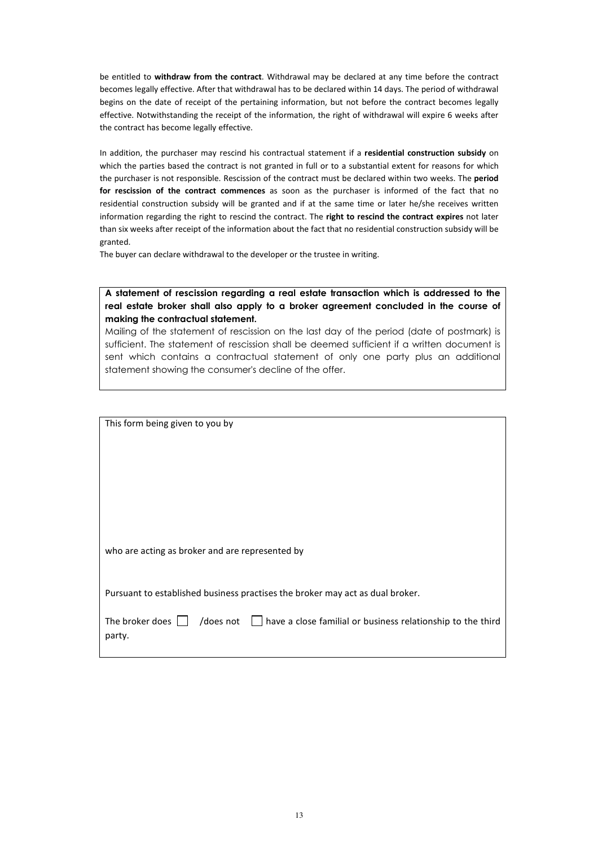be entitled to **withdraw from the contract**. Withdrawal may be declared at any time before the contract becomes legally effective. After that withdrawal has to be declared within 14 days. The period of withdrawal begins on the date of receipt of the pertaining information, but not before the contract becomes legally effective. Notwithstanding the receipt of the information, the right of withdrawal will expire 6 weeks after the contract has become legally effective.

In addition, the purchaser may rescind his contractual statement if a **residential construction subsidy** on which the parties based the contract is not granted in full or to a substantial extent for reasons for which the purchaser is not responsible. Rescission of the contract must be declared within two weeks. The **period for rescission of the contract commences** as soon as the purchaser is informed of the fact that no residential construction subsidy will be granted and if at the same time or later he/she receives written information regarding the right to rescind the contract. The **right to rescind the contract expires** not later than six weeks after receipt of the information about the fact that no residential construction subsidy will be granted.

The buyer can declare withdrawal to the developer or the trustee in writing.

Ī

# **A statement of rescission regarding a real estate transaction which is addressed to the real estate broker shall also apply to a broker agreement concluded in the course of making the contractual statement.**

Mailing of the statement of rescission on the last day of the period (date of postmark) is sufficient. The statement of rescission shall be deemed sufficient if a written document is sent which contains a contractual statement of only one party plus an additional statement showing the consumer's decline of the offer.

| This form being given to you by                                                                                       |
|-----------------------------------------------------------------------------------------------------------------------|
|                                                                                                                       |
|                                                                                                                       |
| who are acting as broker and are represented by                                                                       |
| Pursuant to established business practises the broker may act as dual broker.                                         |
| /does not $\Box$ have a close familial or business relationship to the third<br>The broker does $  \cdot  $<br>party. |